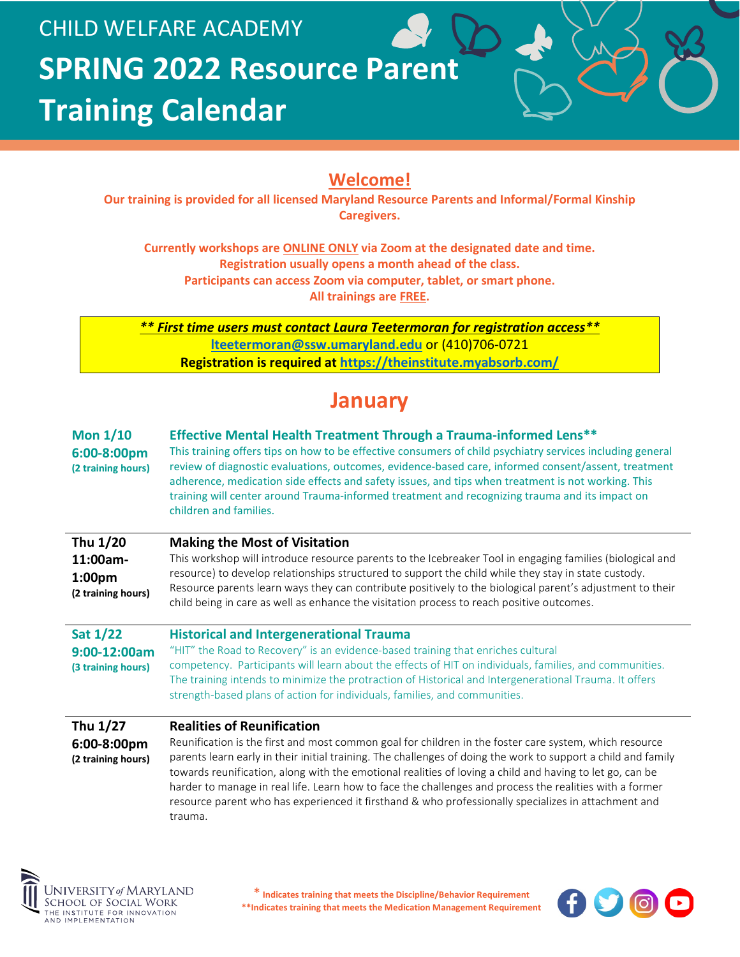

#### **Welcome!**

**Our training is provided for all licensed Maryland Resource Parents and Informal/Formal Kinship Caregivers.**

**Currently workshops are ONLINE ONLY via Zoom at the designated date and time. Registration usually opens a month ahead of the class. Participants can access Zoom via computer, tablet, or smart phone. All trainings are FREE.**

*\*\* First time users must contact Laura Teetermoran for registration access\*\** **[lteetermoran@ssw.umaryland.edu](mailto:lteetermoran@ssw.umaryland.edu)** or (410)706-0721 **Registration is required at<https://theinstitute.myabsorb.com/>**

### **January**

| Mon $1/10$<br>6:00-8:00pm<br>(2 training hours)                  | <b>Effective Mental Health Treatment Through a Trauma-informed Lens**</b><br>This training offers tips on how to be effective consumers of child psychiatry services including general<br>review of diagnostic evaluations, outcomes, evidence-based care, informed consent/assent, treatment<br>adherence, medication side effects and safety issues, and tips when treatment is not working. This<br>training will center around Trauma-informed treatment and recognizing trauma and its impact on<br>children and families.                                                            |
|------------------------------------------------------------------|--------------------------------------------------------------------------------------------------------------------------------------------------------------------------------------------------------------------------------------------------------------------------------------------------------------------------------------------------------------------------------------------------------------------------------------------------------------------------------------------------------------------------------------------------------------------------------------------|
| Thu 1/20<br>11:00am-<br>1:00 <sub>pm</sub><br>(2 training hours) | <b>Making the Most of Visitation</b><br>This workshop will introduce resource parents to the Icebreaker Tool in engaging families (biological and<br>resource) to develop relationships structured to support the child while they stay in state custody.<br>Resource parents learn ways they can contribute positively to the biological parent's adjustment to their<br>child being in care as well as enhance the visitation process to reach positive outcomes.                                                                                                                        |
| <b>Sat 1/22</b><br>9:00-12:00am<br>(3 training hours)            | <b>Historical and Intergenerational Trauma</b><br>"HIT" the Road to Recovery" is an evidence-based training that enriches cultural<br>competency. Participants will learn about the effects of HIT on individuals, families, and communities.<br>The training intends to minimize the protraction of Historical and Intergenerational Trauma. It offers<br>strength-based plans of action for individuals, families, and communities.                                                                                                                                                      |
| Thu 1/27<br>6:00-8:00pm<br>(2 training hours)                    | <b>Realities of Reunification</b><br>Reunification is the first and most common goal for children in the foster care system, which resource<br>parents learn early in their initial training. The challenges of doing the work to support a child and family<br>towards reunification, along with the emotional realities of loving a child and having to let go, can be<br>harder to manage in real life. Learn how to face the challenges and process the realities with a former<br>resource parent who has experienced it firsthand & who professionally specializes in attachment and |



trauma.

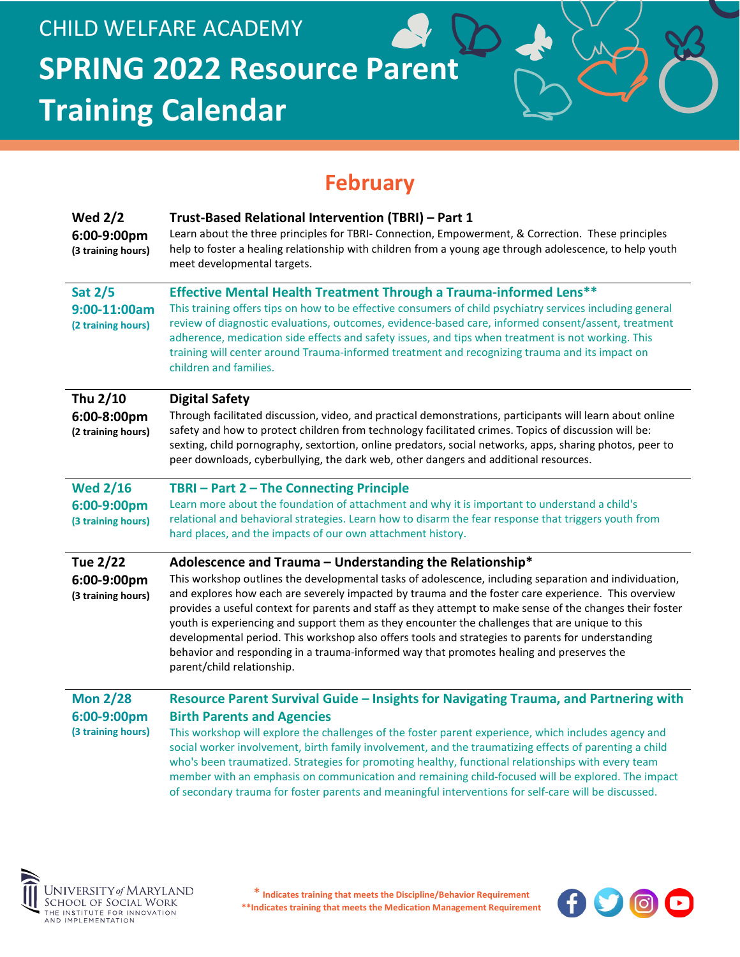# **February**

| <b>Wed 2/2</b><br>6:00-9:00pm<br>(3 training hours)  | Trust-Based Relational Intervention (TBRI) - Part 1<br>Learn about the three principles for TBRI- Connection, Empowerment, & Correction. These principles<br>help to foster a healing relationship with children from a young age through adolescence, to help youth<br>meet developmental targets.                                                                                                                                                                                                                                                                                                                                                                                                                      |
|------------------------------------------------------|--------------------------------------------------------------------------------------------------------------------------------------------------------------------------------------------------------------------------------------------------------------------------------------------------------------------------------------------------------------------------------------------------------------------------------------------------------------------------------------------------------------------------------------------------------------------------------------------------------------------------------------------------------------------------------------------------------------------------|
| <b>Sat 2/5</b><br>9:00-11:00am<br>(2 training hours) | <b>Effective Mental Health Treatment Through a Trauma-informed Lens**</b><br>This training offers tips on how to be effective consumers of child psychiatry services including general<br>review of diagnostic evaluations, outcomes, evidence-based care, informed consent/assent, treatment<br>adherence, medication side effects and safety issues, and tips when treatment is not working. This<br>training will center around Trauma-informed treatment and recognizing trauma and its impact on<br>children and families.                                                                                                                                                                                          |
| Thu 2/10<br>6:00-8:00pm<br>(2 training hours)        | <b>Digital Safety</b><br>Through facilitated discussion, video, and practical demonstrations, participants will learn about online<br>safety and how to protect children from technology facilitated crimes. Topics of discussion will be:<br>sexting, child pornography, sextortion, online predators, social networks, apps, sharing photos, peer to<br>peer downloads, cyberbullying, the dark web, other dangers and additional resources.                                                                                                                                                                                                                                                                           |
| <b>Wed 2/16</b><br>6:00-9:00pm<br>(3 training hours) | TBRI-Part 2-The Connecting Principle<br>Learn more about the foundation of attachment and why it is important to understand a child's<br>relational and behavioral strategies. Learn how to disarm the fear response that triggers youth from<br>hard places, and the impacts of our own attachment history.                                                                                                                                                                                                                                                                                                                                                                                                             |
| <b>Tue 2/22</b><br>6:00-9:00pm<br>(3 training hours) | Adolescence and Trauma - Understanding the Relationship*<br>This workshop outlines the developmental tasks of adolescence, including separation and individuation,<br>and explores how each are severely impacted by trauma and the foster care experience. This overview<br>provides a useful context for parents and staff as they attempt to make sense of the changes their foster<br>youth is experiencing and support them as they encounter the challenges that are unique to this<br>developmental period. This workshop also offers tools and strategies to parents for understanding<br>behavior and responding in a trauma-informed way that promotes healing and preserves the<br>parent/child relationship. |
| <b>Mon 2/28</b><br>6:00-9:00pm<br>(3 training hours) | Resource Parent Survival Guide - Insights for Navigating Trauma, and Partnering with<br><b>Birth Parents and Agencies</b><br>This workshop will explore the challenges of the foster parent experience, which includes agency and<br>social worker involvement, birth family involvement, and the traumatizing effects of parenting a child<br>who's been traumatized. Strategies for promoting healthy, functional relationships with every team<br>member with an emphasis on communication and remaining child-focused will be explored. The impact<br>of secondary trauma for foster parents and meaningful interventions for self-care will be discussed.                                                           |



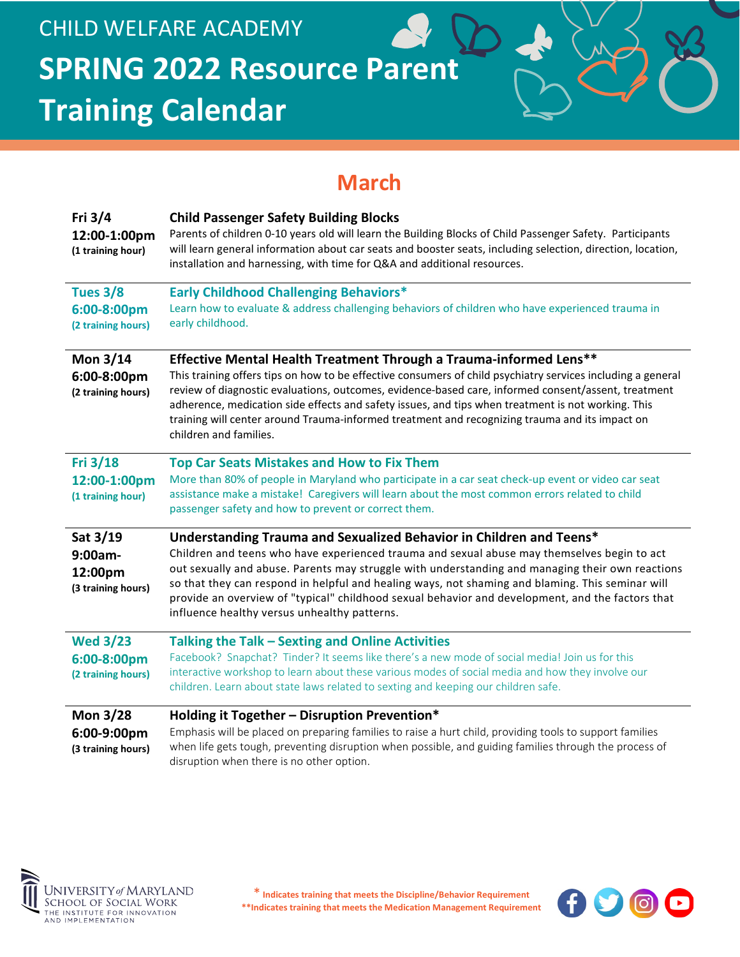# **March**

| Fri 3/4<br>12:00-1:00pm<br>(1 training hour)            | <b>Child Passenger Safety Building Blocks</b><br>Parents of children 0-10 years old will learn the Building Blocks of Child Passenger Safety. Participants<br>will learn general information about car seats and booster seats, including selection, direction, location,<br>installation and harnessing, with time for Q&A and additional resources.                                                                                                                                                                          |
|---------------------------------------------------------|--------------------------------------------------------------------------------------------------------------------------------------------------------------------------------------------------------------------------------------------------------------------------------------------------------------------------------------------------------------------------------------------------------------------------------------------------------------------------------------------------------------------------------|
| <b>Tues 3/8</b><br>6:00-8:00pm<br>(2 training hours)    | <b>Early Childhood Challenging Behaviors*</b><br>Learn how to evaluate & address challenging behaviors of children who have experienced trauma in<br>early childhood.                                                                                                                                                                                                                                                                                                                                                          |
| Mon 3/14<br>6:00-8:00pm<br>(2 training hours)           | Effective Mental Health Treatment Through a Trauma-informed Lens**<br>This training offers tips on how to be effective consumers of child psychiatry services including a general<br>review of diagnostic evaluations, outcomes, evidence-based care, informed consent/assent, treatment<br>adherence, medication side effects and safety issues, and tips when treatment is not working. This<br>training will center around Trauma-informed treatment and recognizing trauma and its impact on<br>children and families.     |
| Fri 3/18<br>12:00-1:00pm<br>(1 training hour)           | <b>Top Car Seats Mistakes and How to Fix Them</b><br>More than 80% of people in Maryland who participate in a car seat check-up event or video car seat<br>assistance make a mistake! Caregivers will learn about the most common errors related to child<br>passenger safety and how to prevent or correct them.                                                                                                                                                                                                              |
| Sat 3/19<br>$9:00am -$<br>12:00pm<br>(3 training hours) | Understanding Trauma and Sexualized Behavior in Children and Teens*<br>Children and teens who have experienced trauma and sexual abuse may themselves begin to act<br>out sexually and abuse. Parents may struggle with understanding and managing their own reactions<br>so that they can respond in helpful and healing ways, not shaming and blaming. This seminar will<br>provide an overview of "typical" childhood sexual behavior and development, and the factors that<br>influence healthy versus unhealthy patterns. |
| <b>Wed 3/23</b><br>6:00-8:00pm<br>(2 training hours)    | Talking the Talk - Sexting and Online Activities<br>Facebook? Snapchat? Tinder? It seems like there's a new mode of social media! Join us for this<br>interactive workshop to learn about these various modes of social media and how they involve our<br>children. Learn about state laws related to sexting and keeping our children safe.                                                                                                                                                                                   |
| <b>Mon 3/28</b><br>6:00-9:00pm<br>(3 training hours)    | Holding it Together - Disruption Prevention*<br>Emphasis will be placed on preparing families to raise a hurt child, providing tools to support families<br>when life gets tough, preventing disruption when possible, and guiding families through the process of<br>disruption when there is no other option.                                                                                                                                                                                                                |



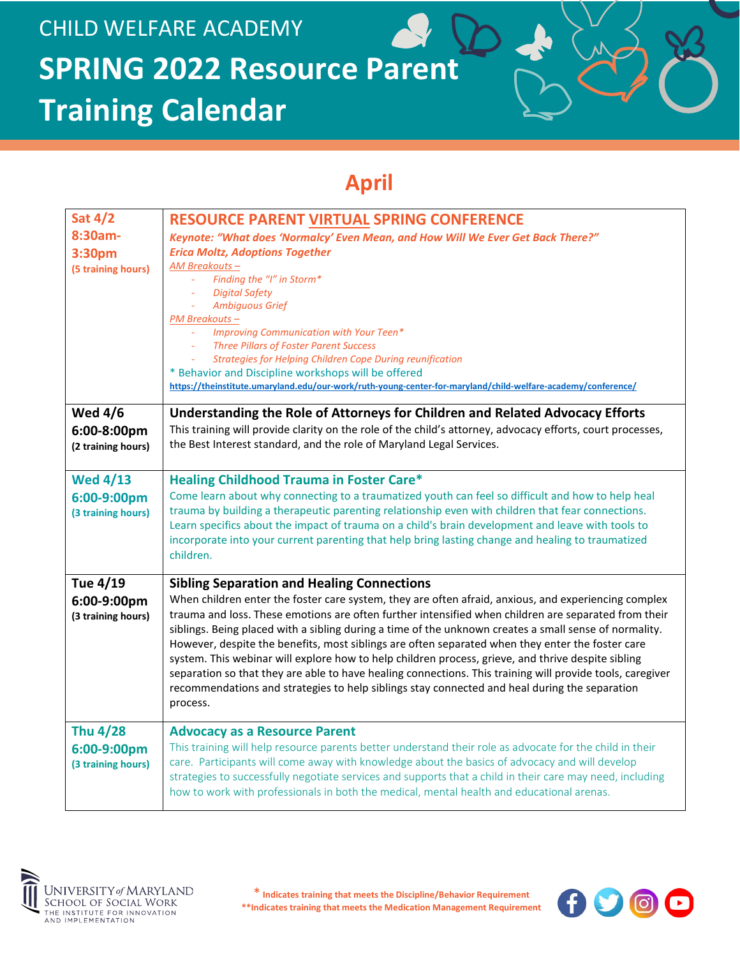# **April**

| <b>Sat 4/2</b><br>8:30am-<br>3:30pm<br>(5 training hours) | RESOURCE PARENT VIRTUAL SPRING CONFERENCE<br>Keynote: "What does 'Normalcy' Even Mean, and How Will We Ever Get Back There?"<br><b>Erica Moltz, Adoptions Together</b><br>AM Breakouts-<br>Finding the "I" in Storm*<br><b>Digital Safety</b><br><b>Ambiquous Grief</b><br>PM Breakouts-<br>Improving Communication with Your Teen*                                                                                                                                                                                                                                                                                                                                                                                                                                                                             |
|-----------------------------------------------------------|-----------------------------------------------------------------------------------------------------------------------------------------------------------------------------------------------------------------------------------------------------------------------------------------------------------------------------------------------------------------------------------------------------------------------------------------------------------------------------------------------------------------------------------------------------------------------------------------------------------------------------------------------------------------------------------------------------------------------------------------------------------------------------------------------------------------|
|                                                           | <b>Three Pillars of Foster Parent Success</b><br><b>Strategies for Helping Children Cope During reunification</b><br>* Behavior and Discipline workshops will be offered<br>https://theinstitute.umaryland.edu/our-work/ruth-young-center-for-maryland/child-welfare-academy/conference/                                                                                                                                                                                                                                                                                                                                                                                                                                                                                                                        |
| <b>Wed 4/6</b><br>6:00-8:00pm<br>(2 training hours)       | Understanding the Role of Attorneys for Children and Related Advocacy Efforts<br>This training will provide clarity on the role of the child's attorney, advocacy efforts, court processes,<br>the Best Interest standard, and the role of Maryland Legal Services.                                                                                                                                                                                                                                                                                                                                                                                                                                                                                                                                             |
| <b>Wed 4/13</b><br>6:00-9:00pm<br>(3 training hours)      | <b>Healing Childhood Trauma in Foster Care*</b><br>Come learn about why connecting to a traumatized youth can feel so difficult and how to help heal<br>trauma by building a therapeutic parenting relationship even with children that fear connections.<br>Learn specifics about the impact of trauma on a child's brain development and leave with tools to<br>incorporate into your current parenting that help bring lasting change and healing to traumatized<br>children.                                                                                                                                                                                                                                                                                                                                |
| Tue 4/19<br>6:00-9:00pm<br>(3 training hours)             | <b>Sibling Separation and Healing Connections</b><br>When children enter the foster care system, they are often afraid, anxious, and experiencing complex<br>trauma and loss. These emotions are often further intensified when children are separated from their<br>siblings. Being placed with a sibling during a time of the unknown creates a small sense of normality.<br>However, despite the benefits, most siblings are often separated when they enter the foster care<br>system. This webinar will explore how to help children process, grieve, and thrive despite sibling<br>separation so that they are able to have healing connections. This training will provide tools, caregiver<br>recommendations and strategies to help siblings stay connected and heal during the separation<br>process. |
| <b>Thu 4/28</b><br>6:00-9:00pm<br>(3 training hours)      | <b>Advocacy as a Resource Parent</b><br>This training will help resource parents better understand their role as advocate for the child in their<br>care. Participants will come away with knowledge about the basics of advocacy and will develop<br>strategies to successfully negotiate services and supports that a child in their care may need, including<br>how to work with professionals in both the medical, mental health and educational arenas.                                                                                                                                                                                                                                                                                                                                                    |



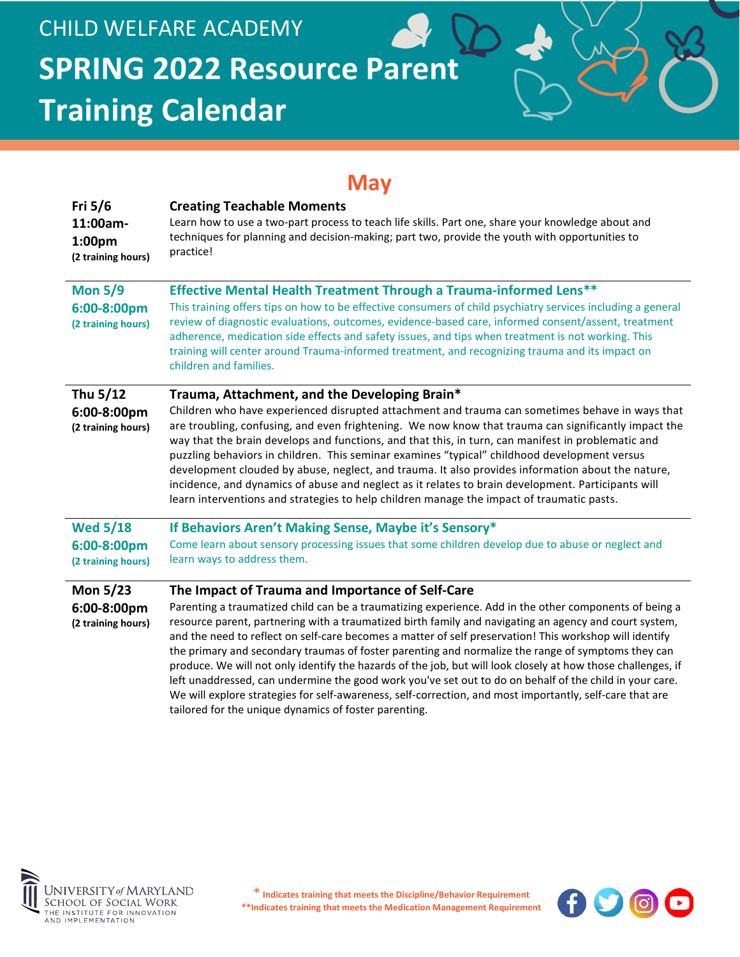### **May**

| Fri $5/6$<br>11:00am-<br>1:00 <sub>pm</sub><br>(2 training hours) | <b>Creating Teachable Moments</b><br>Learn how to use a two-part process to teach life skills. Part one, share your knowledge about and<br>techniques for planning and decision-making; part two, provide the youth with opportunities to<br>practice!                                                                                                                                                                                                                                                                                                                                                                                                                                                                                                                                                                                                                                |
|-------------------------------------------------------------------|---------------------------------------------------------------------------------------------------------------------------------------------------------------------------------------------------------------------------------------------------------------------------------------------------------------------------------------------------------------------------------------------------------------------------------------------------------------------------------------------------------------------------------------------------------------------------------------------------------------------------------------------------------------------------------------------------------------------------------------------------------------------------------------------------------------------------------------------------------------------------------------|
| <b>Mon 5/9</b><br>6:00-8:00pm<br>(2 training hours)               | Effective Mental Health Treatment Through a Trauma-informed Lens**<br>This training offers tips on how to be effective consumers of child psychiatry services including a general<br>review of diagnostic evaluations, outcomes, evidence-based care, informed consent/assent, treatment<br>adherence, medication side effects and safety issues, and tips when treatment is not working. This<br>training will center around Trauma-informed treatment, and recognizing trauma and its impact on<br>children and families.                                                                                                                                                                                                                                                                                                                                                           |
| Thu 5/12<br>6:00-8:00pm<br>(2 training hours)                     | Trauma, Attachment, and the Developing Brain*<br>Children who have experienced disrupted attachment and trauma can sometimes behave in ways that<br>are troubling, confusing, and even frightening. We now know that trauma can significantly impact the<br>way that the brain develops and functions, and that this, in turn, can manifest in problematic and<br>puzzling behaviors in children. This seminar examines "typical" childhood development versus<br>development clouded by abuse, neglect, and trauma. It also provides information about the nature,<br>incidence, and dynamics of abuse and neglect as it relates to brain development. Participants will<br>learn interventions and strategies to help children manage the impact of traumatic pasts.                                                                                                                |
| <b>Wed 5/18</b><br>6:00-8:00pm<br>(2 training hours)              | If Behaviors Aren't Making Sense, Maybe it's Sensory*<br>Come learn about sensory processing issues that some children develop due to abuse or neglect and<br>learn ways to address them.                                                                                                                                                                                                                                                                                                                                                                                                                                                                                                                                                                                                                                                                                             |
| <b>Mon 5/23</b><br>6:00-8:00pm<br>(2 training hours)              | The Impact of Trauma and Importance of Self-Care<br>Parenting a traumatized child can be a traumatizing experience. Add in the other components of being a<br>resource parent, partnering with a traumatized birth family and navigating an agency and court system,<br>and the need to reflect on self-care becomes a matter of self preservation! This workshop will identify<br>the primary and secondary traumas of foster parenting and normalize the range of symptoms they can<br>produce. We will not only identify the hazards of the job, but will look closely at how those challenges, if<br>left unaddressed, can undermine the good work you've set out to do on behalf of the child in your care.<br>We will explore strategies for self-awareness, self-correction, and most importantly, self-care that are<br>tailored for the unique dynamics of foster parenting. |



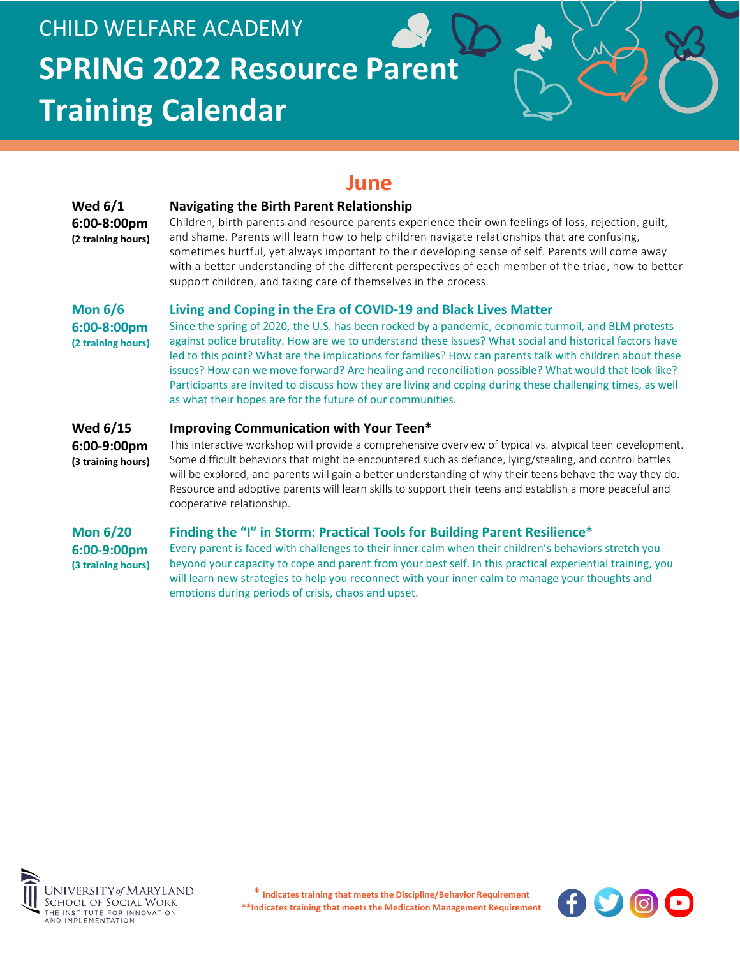### **June**

| Wed $6/1$<br>6:00-8:00pm<br>(2 training hours)       | <b>Navigating the Birth Parent Relationship</b><br>Children, birth parents and resource parents experience their own feelings of loss, rejection, guilt,<br>and shame. Parents will learn how to help children navigate relationships that are confusing,<br>sometimes hurtful, yet always important to their developing sense of self. Parents will come away<br>with a better understanding of the different perspectives of each member of the triad, how to better<br>support children, and taking care of themselves in the process.                                                                                                                                            |
|------------------------------------------------------|--------------------------------------------------------------------------------------------------------------------------------------------------------------------------------------------------------------------------------------------------------------------------------------------------------------------------------------------------------------------------------------------------------------------------------------------------------------------------------------------------------------------------------------------------------------------------------------------------------------------------------------------------------------------------------------|
| <b>Mon 6/6</b><br>6:00-8:00pm<br>(2 training hours)  | Living and Coping in the Era of COVID-19 and Black Lives Matter<br>Since the spring of 2020, the U.S. has been rocked by a pandemic, economic turmoil, and BLM protests<br>against police brutality. How are we to understand these issues? What social and historical factors have<br>led to this point? What are the implications for families? How can parents talk with children about these<br>issues? How can we move forward? Are healing and reconciliation possible? What would that look like?<br>Participants are invited to discuss how they are living and coping during these challenging times, as well<br>as what their hopes are for the future of our communities. |
| <b>Wed 6/15</b><br>6:00-9:00pm<br>(3 training hours) | <b>Improving Communication with Your Teen*</b><br>This interactive workshop will provide a comprehensive overview of typical vs. atypical teen development.<br>Some difficult behaviors that might be encountered such as defiance, lying/stealing, and control battles<br>will be explored, and parents will gain a better understanding of why their teens behave the way they do.<br>Resource and adoptive parents will learn skills to support their teens and establish a more peaceful and<br>cooperative relationship.                                                                                                                                                        |
| <b>Mon 6/20</b><br>6:00-9:00pm<br>(3 training hours) | Finding the "I" in Storm: Practical Tools for Building Parent Resilience*<br>Every parent is faced with challenges to their inner calm when their children's behaviors stretch you<br>beyond your capacity to cope and parent from your best self. In this practical experiential training, you<br>will learn new strategies to help you reconnect with your inner calm to manage your thoughts and<br>emotions during periods of crisis, chaos and upset.                                                                                                                                                                                                                           |